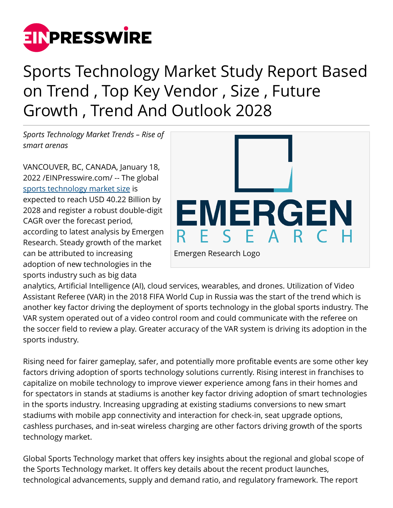

## Sports Technology Market Study Report Based on Trend , Top Key Vendor , Size , Future Growth , Trend And Outlook 2028

*Sports Technology Market Trends – Rise of smart arenas*

VANCOUVER, BC, CANADA, January 18, 2022 /[EINPresswire.com](http://www.einpresswire.com)/ -- The global [sports technology market size](https://www.emergenresearch.com/industry-report/sports-technology-market) is expected to reach USD 40.22 Billion by 2028 and register a robust double-digit CAGR over the forecast period, according to latest analysis by Emergen Research. Steady growth of the market can be attributed to increasing adoption of new technologies in the sports industry such as big data



analytics, Artificial Intelligence (AI), cloud services, wearables, and drones. Utilization of Video Assistant Referee (VAR) in the 2018 FIFA World Cup in Russia was the start of the trend which is another key factor driving the deployment of sports technology in the global sports industry. The VAR system operated out of a video control room and could communicate with the referee on the soccer field to review a play. Greater accuracy of the VAR system is driving its adoption in the sports industry.

Rising need for fairer gameplay, safer, and potentially more profitable events are some other key factors driving adoption of sports technology solutions currently. Rising interest in franchises to capitalize on mobile technology to improve viewer experience among fans in their homes and for spectators in stands at stadiums is another key factor driving adoption of smart technologies in the sports industry. Increasing upgrading at existing stadiums conversions to new smart stadiums with mobile app connectivity and interaction for check-in, seat upgrade options, cashless purchases, and in-seat wireless charging are other factors driving growth of the sports technology market.

Global Sports Technology market that offers key insights about the regional and global scope of the Sports Technology market. It offers key details about the recent product launches, technological advancements, supply and demand ratio, and regulatory framework. The report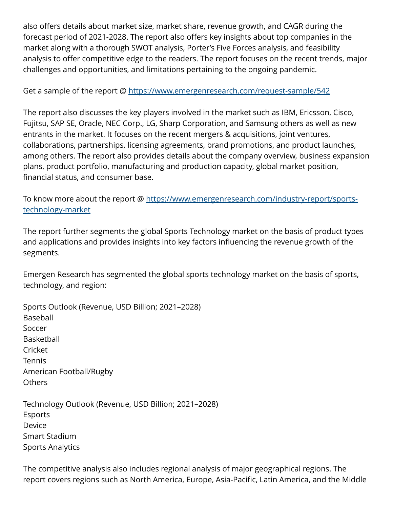also offers details about market size, market share, revenue growth, and CAGR during the forecast period of 2021-2028. The report also offers key insights about top companies in the market along with a thorough SWOT analysis, Porter's Five Forces analysis, and feasibility analysis to offer competitive edge to the readers. The report focuses on the recent trends, major challenges and opportunities, and limitations pertaining to the ongoing pandemic.

Get a sample of the report @<https://www.emergenresearch.com/request-sample/542>

The report also discusses the key players involved in the market such as IBM, Ericsson, Cisco, Fujitsu, SAP SE, Oracle, NEC Corp., LG, Sharp Corporation, and Samsung others as well as new entrants in the market. It focuses on the recent mergers & acquisitions, joint ventures, collaborations, partnerships, licensing agreements, brand promotions, and product launches, among others. The report also provides details about the company overview, business expansion plans, product portfolio, manufacturing and production capacity, global market position, financial status, and consumer base.

To know more about the report @ [https://www.emergenresearch.com/industry-report/sports](https://www.emergenresearch.com/industry-report/sports-technology-market)[technology-market](https://www.emergenresearch.com/industry-report/sports-technology-market)

The report further segments the global Sports Technology market on the basis of product types and applications and provides insights into key factors influencing the revenue growth of the segments.

Emergen Research has segmented the global sports technology market on the basis of sports, technology, and region:

Sports Outlook (Revenue, USD Billion; 2021–2028) Baseball Soccer Basketball Cricket Tennis American Football/Rugby Others

Technology Outlook (Revenue, USD Billion; 2021–2028) Esports Device Smart Stadium Sports Analytics

The competitive analysis also includes regional analysis of major geographical regions. The report covers regions such as North America, Europe, Asia-Pacific, Latin America, and the Middle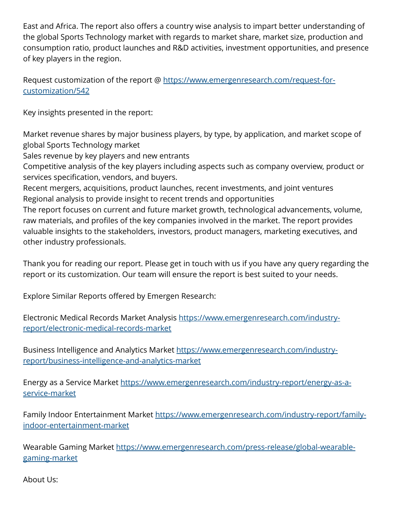East and Africa. The report also offers a country wise analysis to impart better understanding of the global Sports Technology market with regards to market share, market size, production and consumption ratio, product launches and R&D activities, investment opportunities, and presence of key players in the region.

Request customization of the report @ [https://www.emergenresearch.com/request-for](https://www.emergenresearch.com/request-for-customization/542)[customization/542](https://www.emergenresearch.com/request-for-customization/542)

Key insights presented in the report:

Market revenue shares by major business players, by type, by application, and market scope of global Sports Technology market

Sales revenue by key players and new entrants

Competitive analysis of the key players including aspects such as company overview, product or services specification, vendors, and buyers.

Recent mergers, acquisitions, product launches, recent investments, and joint ventures Regional analysis to provide insight to recent trends and opportunities

The report focuses on current and future market growth, technological advancements, volume, raw materials, and profiles of the key companies involved in the market. The report provides valuable insights to the stakeholders, investors, product managers, marketing executives, and other industry professionals.

Thank you for reading our report. Please get in touch with us if you have any query regarding the report or its customization. Our team will ensure the report is best suited to your needs.

Explore Similar Reports offered by Emergen Research:

Electronic Medical Records Market Analysis [https://www.emergenresearch.com/industry](https://www.emergenresearch.com/industry-report/electronic-medical-records-market)[report/electronic-medical-records-market](https://www.emergenresearch.com/industry-report/electronic-medical-records-market)

Business Intelligence and Analytics Market [https://www.emergenresearch.com/industry](https://www.emergenresearch.com/industry-report/business-intelligence-and-analytics-market)[report/business-intelligence-and-analytics-market](https://www.emergenresearch.com/industry-report/business-intelligence-and-analytics-market)

Energy as a Service Market [https://www.emergenresearch.com/industry-report/energy-as-a](https://www.emergenresearch.com/industry-report/energy-as-a-service-market)[service-market](https://www.emergenresearch.com/industry-report/energy-as-a-service-market)

Family Indoor Entertainment Market [https://www.emergenresearch.com/industry-report/family](https://www.emergenresearch.com/industry-report/family-indoor-entertainment-market)[indoor-entertainment-market](https://www.emergenresearch.com/industry-report/family-indoor-entertainment-market)

Wearable Gaming Market [https://www.emergenresearch.com/press-release/global-wearable](https://www.emergenresearch.com/press-release/global-wearable-gaming-market)[gaming-market](https://www.emergenresearch.com/press-release/global-wearable-gaming-market)

About Us: